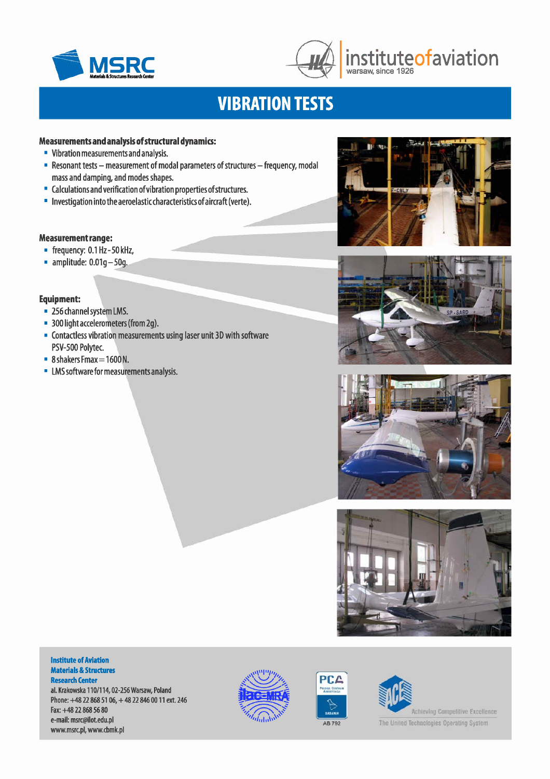



# **MSRC instituteofaviation**

# **VIBRATION TESTS**

# **Measurements and analysis of structural dynamics:**

- Vibration measurements and analysis.
- **Resonant tests measurement of modal parameters of structures frequency, modal** mass and damping, and modes shapes.
- Calculations and verification of vibration properties of structures.
- Investigation into the aeroelasticcharacteristics of aircraft (verte).

# **Measurement range:**

- frequency: 0.1 Hz-50kHz,
- $\blacksquare$  amplitude: 0.01q 50q.

# **Equipment:**

- 256 channel system LMS.
- **300 light accelerometers (from 2g).**
- Contactless vibration measurements using laser unit 3D with software PSV-500 Polytec.
- 8 shakers Fmax = 1600 N.
- LMSsoftware for measurements analysis.









#### **Institute of Aviation Materials & Structures Research Center**

al. Krakowska 110/114,02-256 Warsaw, Poland Phone: +48 22 868 51 06, + 48 22 846 0011 ext. 246 Fax:+48 22 868 56 80 e-mail: [msrc@ilot.edu.pl](mailto:msrc@ilot.edu.pl) [www.msrc.pl,](http://www.msrc.pl,) [www.cbmk.pl](http://www.cbmk.pl)